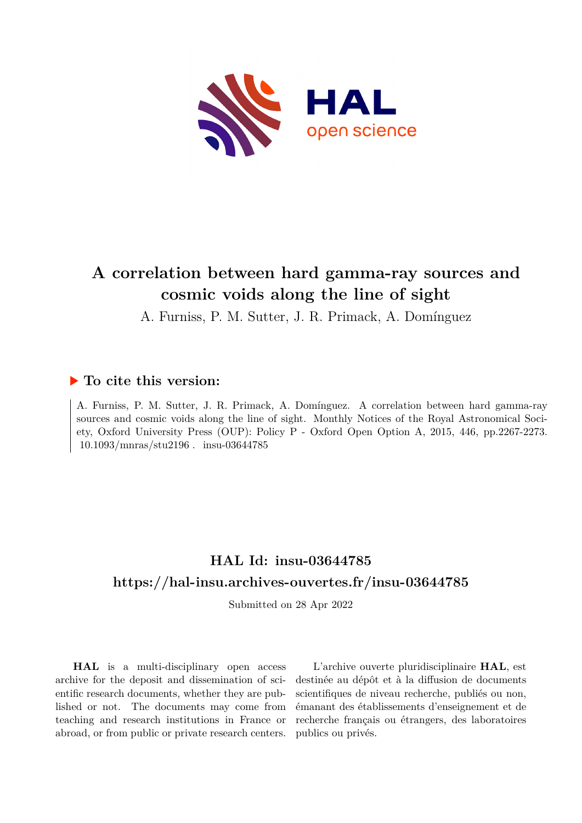

# **A correlation between hard gamma-ray sources and cosmic voids along the line of sight**

A. Furniss, P. M. Sutter, J. R. Primack, A. Domínguez

### **To cite this version:**

A. Furniss, P. M. Sutter, J. R. Primack, A. Domínguez. A correlation between hard gamma-ray sources and cosmic voids along the line of sight. Monthly Notices of the Royal Astronomical Society, Oxford University Press (OUP): Policy P - Oxford Open Option A, 2015, 446, pp.2267-2273.  $10.1093/mnras/stu2196$ . insu-03644785

## **HAL Id: insu-03644785 <https://hal-insu.archives-ouvertes.fr/insu-03644785>**

Submitted on 28 Apr 2022

**HAL** is a multi-disciplinary open access archive for the deposit and dissemination of scientific research documents, whether they are published or not. The documents may come from teaching and research institutions in France or abroad, or from public or private research centers.

L'archive ouverte pluridisciplinaire **HAL**, est destinée au dépôt et à la diffusion de documents scientifiques de niveau recherche, publiés ou non, émanant des établissements d'enseignement et de recherche français ou étrangers, des laboratoires publics ou privés.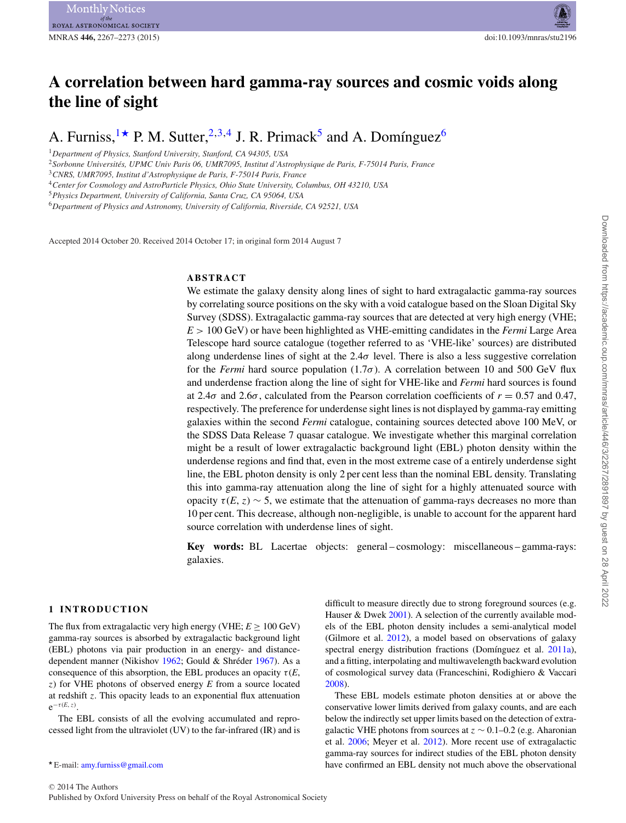### **A correlation between hard gamma-ray sources and cosmic voids along the line of sight**

A. Furniss, <sup>1\*</sup> P. M. Sutter, <sup>2,3,4</sup> J. R. Primack<sup>5</sup> and A. Domínguez<sup>6</sup>

<sup>1</sup>*Department of Physics, Stanford University, Stanford, CA 94305, USA*

<sup>2</sup>*Sorbonne Universites, UPMC Univ Paris 06, UMR7095, Institut d'Astrophysique de Paris, F-75014 Paris, France ´*

<sup>3</sup>*CNRS, UMR7095, Institut d'Astrophysique de Paris, F-75014 Paris, France*

<sup>4</sup>*Center for Cosmology and AstroParticle Physics, Ohio State University, Columbus, OH 43210, USA*

<sup>6</sup>*Department of Physics and Astronomy, University of California, Riverside, CA 92521, USA*

Accepted 2014 October 20. Received 2014 October 17; in original form 2014 August 7

#### **ABSTRACT**

We estimate the galaxy density along lines of sight to hard extragalactic gamma-ray sources by correlating source positions on the sky with a void catalogue based on the Sloan Digital Sky Survey (SDSS). Extragalactic gamma-ray sources that are detected at very high energy (VHE; *E* > 100 GeV) or have been highlighted as VHE-emitting candidates in the *Fermi* Large Area Telescope hard source catalogue (together referred to as 'VHE-like' sources) are distributed along underdense lines of sight at the  $2.4\sigma$  level. There is also a less suggestive correlation for the *Fermi* hard source population (1.7σ). A correlation between 10 and 500 GeV flux and underdense fraction along the line of sight for VHE-like and *Fermi* hard sources is found at 2.4σ and 2.6σ, calculated from the Pearson correlation coefficients of *r* = 0.57 and 0.47, respectively. The preference for underdense sight lines is not displayed by gamma-ray emitting galaxies within the second *Fermi* catalogue, containing sources detected above 100 MeV, or the SDSS Data Release 7 quasar catalogue. We investigate whether this marginal correlation might be a result of lower extragalactic background light (EBL) photon density within the underdense regions and find that, even in the most extreme case of a entirely underdense sight line, the EBL photon density is only 2 per cent less than the nominal EBL density. Translating this into gamma-ray attenuation along the line of sight for a highly attenuated source with opacity  $\tau(E, z) \sim 5$ , we estimate that the attenuation of gamma-rays decreases no more than 10 per cent. This decrease, although non-negligible, is unable to account for the apparent hard source correlation with underdense lines of sight.

**Key words:** BL Lacertae objects: general – cosmology: miscellaneous – gamma-rays: galaxies.

#### **1 INTRODUCTION**

The flux from extragalactic very high energy (VHE;  $E \ge 100 \text{ GeV}$ ) gamma-ray sources is absorbed by extragalactic background light (EBL) photons via pair production in an energy- and distancedependent manner (Nikishov  $1962$ ; Gould & Shréder 1967). As a consequence of this absorption, the EBL produces an opacity  $\tau(E, \theta)$ z) for VHE photons of observed energy *E* from a source located at redshift z. This opacity leads to an exponential flux attenuation  $e^{-\tau(E,\,z)}$ .

The EBL consists of all the evolving accumulated and reprocessed light from the ultraviolet (UV) to the far-infrared (IR) and is difficult to measure directly due to strong foreground sources (e.g. Hauser & Dwek 2001). A selection of the currently available models of the EBL photon density includes a semi-analytical model (Gilmore et al. 2012), a model based on observations of galaxy spectral energy distribution fractions (Domínguez et al. 2011a), and a fitting, interpolating and multiwavelength backward evolution of cosmological survey data (Franceschini, Rodighiero & Vaccari 2008).

These EBL models estimate photon densities at or above the conservative lower limits derived from galaxy counts, and are each below the indirectly set upper limits based on the detection of extragalactic VHE photons from sources at  $z \sim 0.1-0.2$  (e.g. Aharonian et al. 2006; Meyer et al. 2012). More recent use of extragalactic gamma-ray sources for indirect studies of the EBL photon density have confirmed an EBL density not much above the observational

<sup>5</sup>*Physics Department, University of California, Santa Cruz, CA 95064, USA*

E-mail: [amy.furniss@gmail.com](mailto:amy.furniss@gmail.com)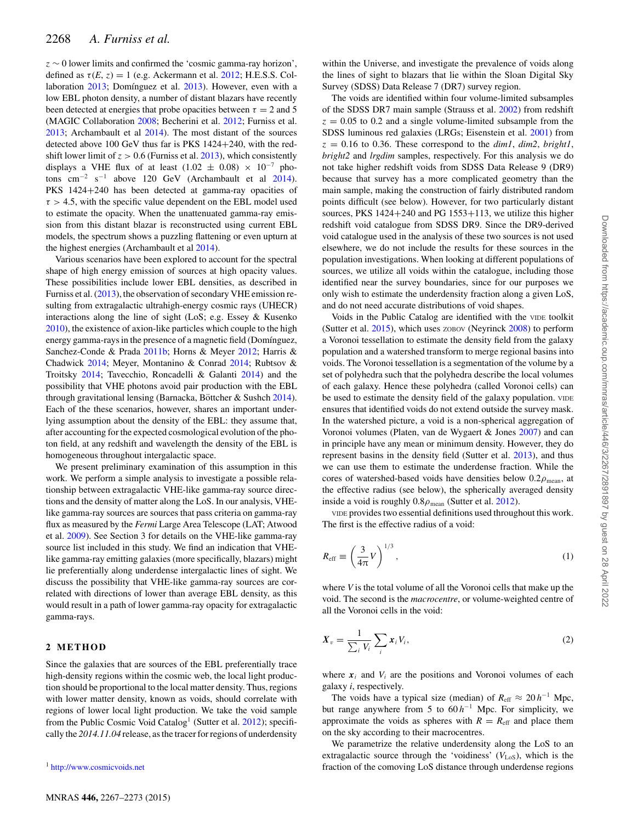$z \sim 0$  lower limits and confirmed the 'cosmic gamma-ray horizon', defined as  $\tau(E, z) = 1$  (e.g. Ackermann et al. 2012; H.E.S.S. Collaboration 2013; Domínguez et al. 2013). However, even with a low EBL photon density, a number of distant blazars have recently been detected at energies that probe opacities between  $\tau = 2$  and 5 (MAGIC Collaboration 2008; Becherini et al. 2012; Furniss et al. 2013; Archambault et al 2014). The most distant of the sources detected above 100 GeV thus far is PKS 1424+240, with the redshift lower limit of  $z > 0.6$  (Furniss et al. 2013), which consistently displays a VHE flux of at least (1.02  $\pm$  0.08) × 10<sup>-7</sup> photons cm<sup>-2</sup> s<sup>-1</sup> above 120 GeV (Archambault et al 2014). PKS 1424+240 has been detected at gamma-ray opacities of  $\tau > 4.5$ , with the specific value dependent on the EBL model used to estimate the opacity. When the unattenuated gamma-ray emission from this distant blazar is reconstructed using current EBL models, the spectrum shows a puzzling flattening or even upturn at the highest energies (Archambault et al 2014).

Various scenarios have been explored to account for the spectral shape of high energy emission of sources at high opacity values. These possibilities include lower EBL densities, as described in Furniss et al. (2013), the observation of secondary VHE emission resulting from extragalactic ultrahigh-energy cosmic rays (UHECR) interactions along the line of sight (LoS; e.g. Essey & Kusenko 2010), the existence of axion-like particles which couple to the high energy gamma-rays in the presence of a magnetic field (Domínguez, Sanchez-Conde & Prada 2011b; Horns & Meyer 2012; Harris & Chadwick 2014; Meyer, Montanino & Conrad 2014; Rubtsov & Troitsky 2014; Tavecchio, Roncadelli & Galanti 2014) and the possibility that VHE photons avoid pair production with the EBL through gravitational lensing (Barnacka, Böttcher & Sushch  $2014$ ). Each of the these scenarios, however, shares an important underlying assumption about the density of the EBL: they assume that, after accounting for the expected cosmological evolution of the photon field, at any redshift and wavelength the density of the EBL is homogeneous throughout intergalactic space.

We present preliminary examination of this assumption in this work. We perform a simple analysis to investigate a possible relationship between extragalactic VHE-like gamma-ray source directions and the density of matter along the LoS. In our analysis, VHElike gamma-ray sources are sources that pass criteria on gamma-ray flux as measured by the *Fermi* Large Area Telescope (LAT; Atwood et al. 2009). See Section 3 for details on the VHE-like gamma-ray source list included in this study. We find an indication that VHElike gamma-ray emitting galaxies (more specifically, blazars) might lie preferentially along underdense intergalactic lines of sight. We discuss the possibility that VHE-like gamma-ray sources are correlated with directions of lower than average EBL density, as this would result in a path of lower gamma-ray opacity for extragalactic gamma-rays.

#### **2 METHOD**

Since the galaxies that are sources of the EBL preferentially trace high-density regions within the cosmic web, the local light production should be proportional to the local matter density. Thus, regions with lower matter density, known as voids, should correlate with regions of lower local light production. We take the void sample from the Public Cosmic Void Catalog<sup>1</sup> (Sutter et al. 2012); specifically the *2014.11.04* release, as the tracer for regions of underdensity

within the Universe, and investigate the prevalence of voids along the lines of sight to blazars that lie within the Sloan Digital Sky Survey (SDSS) Data Release 7 (DR7) survey region.

The voids are identified within four volume-limited subsamples of the SDSS DR7 main sample (Strauss et al. 2002) from redshift  $z = 0.05$  to 0.2 and a single volume-limited subsample from the SDSS luminous red galaxies (LRGs; Eisenstein et al. 2001) from  $z = 0.16$  to 0.36. These correspond to the  $dim1$ ,  $dim2$ ,  $bright1$ , *bright2* and *lrgdim* samples, respectively. For this analysis we do not take higher redshift voids from SDSS Data Release 9 (DR9) because that survey has a more complicated geometry than the main sample, making the construction of fairly distributed random points difficult (see below). However, for two particularly distant sources, PKS  $1424+240$  and PG  $1553+113$ , we utilize this higher redshift void catalogue from SDSS DR9. Since the DR9-derived void catalogue used in the analysis of these two sources is not used elsewhere, we do not include the results for these sources in the population investigations. When looking at different populations of sources, we utilize all voids within the catalogue, including those identified near the survey boundaries, since for our purposes we only wish to estimate the underdensity fraction along a given LoS, and do not need accurate distributions of void shapes.

Voids in the Public Catalog are identified with the VIDE toolkit (Sutter et al. 2015), which uses ZOBOV (Neyrinck 2008) to perform a Voronoi tessellation to estimate the density field from the galaxy population and a watershed transform to merge regional basins into voids. The Voronoi tessellation is a segmentation of the volume by a set of polyhedra such that the polyhedra describe the local volumes of each galaxy. Hence these polyhedra (called Voronoi cells) can be used to estimate the density field of the galaxy population. VIDE ensures that identified voids do not extend outside the survey mask. In the watershed picture, a void is a non-spherical aggregation of Voronoi volumes (Platen, van de Wygaert & Jones 2007) and can in principle have any mean or minimum density. However, they do represent basins in the density field (Sutter et al. 2013), and thus we can use them to estimate the underdense fraction. While the cores of watershed-based voids have densities below  $0.2\rho_{\text{mean}}$ , at the effective radius (see below), the spherically averaged density inside a void is roughly  $0.8\rho_{\text{mean}}$  (Sutter et al. 2012).

VIDE provides two essential definitions used throughout this work. The first is the effective radius of a void:

$$
R_{\rm eff} \equiv \left(\frac{3}{4\pi}V\right)^{1/3},\tag{1}
$$

where *V* is the total volume of all the Voronoi cells that make up the void. The second is the *macrocentre*, or volume-weighted centre of all the Voronoi cells in the void:

$$
\boldsymbol{X}_{v} = \frac{1}{\sum_{i} V_{i}} \sum_{i} \boldsymbol{x}_{i} V_{i}, \qquad (2)
$$

where  $x_i$  and  $V_i$  are the positions and Voronoi volumes of each galaxy *i*, respectively.

The voids have a typical size (median) of  $R_{\text{eff}} \approx 20 h^{-1}$  Mpc, but range anywhere from 5 to 60 *h*−<sup>1</sup> Mpc. For simplicity, we approximate the voids as spheres with  $R = R<sub>eff</sub>$  and place them on the sky according to their macrocentres.

We parametrize the relative underdensity along the LoS to an extragalactic source through the 'voidiness'  $(V<sub>LoS</sub>)$ , which is the fraction of the comoving LoS distance through underdense regions

<sup>&</sup>lt;sup>1</sup> <http://www.cosmicvoids.net>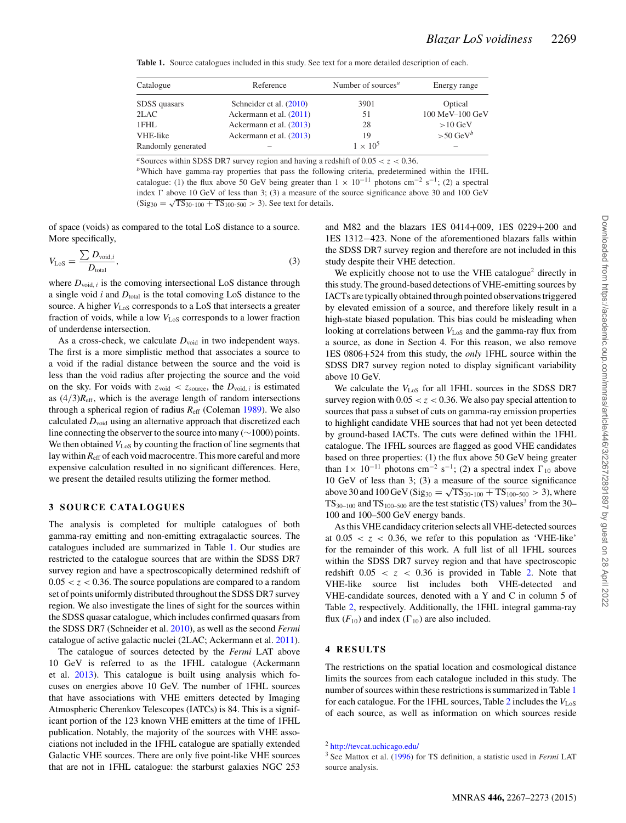**Table 1.** Source catalogues included in this study. See text for a more detailed description of each.

| Catalogue          | Reference               | Number of sources <sup><math>a</math></sup> | Energy range            |
|--------------------|-------------------------|---------------------------------------------|-------------------------|
| SDSS quasars       | Schneider et al. (2010) | 3901                                        | Optical                 |
| 2LAC               | Ackermann et al. (2011) | 51                                          | 100 MeV-100 GeV         |
| 1FHL               | Ackermann et al. (2013) | 28                                          | $>10$ GeV               |
| VHE-like           | Ackermann et al. (2013) | 19                                          | $> 50$ GeV <sup>b</sup> |
| Randomly generated |                         | $1 \times 10^5$                             |                         |

<sup>a</sup>Sources within SDSS DR7 survey region and having a redshift of  $0.05 < z < 0.36$ .

*<sup>b</sup>*Which have gamma-ray properties that pass the following criteria, predetermined within the 1FHL catalogue: (1) the flux above 50 GeV being greater than  $1 \times 10^{-11}$  photons cm<sup>-2</sup> s<sup>-1</sup>; (2) a spectral index  $\Gamma$  above 10 GeV of less than 3; (3) a measure of the source significance above 30 and 100 GeV  $(Sig_{30} = \sqrt{TS_{30-100} + TS_{100-500}} > 3)$ . See text for details.

of space (voids) as compared to the total LoS distance to a source. More specifically,

$$
V_{\text{LoS}} = \frac{\sum D_{\text{void},i}}{D_{\text{total}}},\tag{3}
$$

where  $D_{\text{void}, i}$  is the comoving intersectional LoS distance through a single void  $i$  and  $D_{total}$  is the total comoving LoS distance to the source. A higher  $V_{\text{LoS}}$  corresponds to a LoS that intersects a greater fraction of voids, while a low  $V_{\text{LoS}}$  corresponds to a lower fraction of underdense intersection.

As a cross-check, we calculate  $D_{\text{void}}$  in two independent ways. The first is a more simplistic method that associates a source to a void if the radial distance between the source and the void is less than the void radius after projecting the source and the void on the sky. For voids with  $z_{\text{void}} < z_{\text{source}}$ , the  $D_{\text{void}, i}$  is estimated as  $(4/3)R<sub>eff</sub>$ , which is the average length of random intersections through a spherical region of radius *R*eff (Coleman 1989). We also calculated  $D_{\text{void}}$  using an alternative approach that discretized each line connecting the observer to the source into many (∼1000) points. We then obtained  $V_{\text{LoS}}$  by counting the fraction of line segments that lay within  $R_{\text{eff}}$  of each void macrocentre. This more careful and more expensive calculation resulted in no significant differences. Here, we present the detailed results utilizing the former method.

#### **3 SOURCE CATALOGUES**

The analysis is completed for multiple catalogues of both gamma-ray emitting and non-emitting extragalactic sources. The catalogues included are summarized in Table 1. Our studies are restricted to the catalogue sources that are within the SDSS DR7 survey region and have a spectroscopically determined redshift of  $0.05 < z < 0.36$ . The source populations are compared to a random set of points uniformly distributed throughout the SDSS DR7 survey region. We also investigate the lines of sight for the sources within the SDSS quasar catalogue, which includes confirmed quasars from the SDSS DR7 (Schneider et al. 2010), as well as the second *Fermi* catalogue of active galactic nuclei (2LAC; Ackermann et al. 2011).

The catalogue of sources detected by the *Fermi* LAT above 10 GeV is referred to as the 1FHL catalogue (Ackermann et al. 2013). This catalogue is built using analysis which focuses on energies above 10 GeV. The number of 1FHL sources that have associations with VHE emitters detected by Imaging Atmospheric Cherenkov Telescopes (IATCs) is 84. This is a significant portion of the 123 known VHE emitters at the time of 1FHL publication. Notably, the majority of the sources with VHE associations not included in the 1FHL catalogue are spatially extended Galactic VHE sources. There are only five point-like VHE sources that are not in 1FHL catalogue: the starburst galaxies NGC 253 and M82 and the blazars 1ES 0414+009, 1ES 0229+200 and 1ES 1312−423. None of the aforementioned blazars falls within the SDSS DR7 survey region and therefore are not included in this study despite their VHE detection.

We explicitly choose not to use the VHE catalogue<sup>2</sup> directly in this study. The ground-based detections of VHE-emitting sources by IACTs are typically obtained through pointed observations triggered by elevated emission of a source, and therefore likely result in a high-state biased population. This bias could be misleading when looking at correlations between  $V_{\text{LoS}}$  and the gamma-ray flux from a source, as done in Section 4. For this reason, we also remove 1ES 0806+524 from this study, the *only* 1FHL source within the SDSS DR7 survey region noted to display significant variability above 10 GeV.

We calculate the  $V_{\text{LoS}}$  for all 1FHL sources in the SDSS DR7 survey region with  $0.05 < z < 0.36$ . We also pay special attention to sources that pass a subset of cuts on gamma-ray emission properties to highlight candidate VHE sources that had not yet been detected by ground-based IACTs. The cuts were defined within the 1FHL catalogue. The 1FHL sources are flagged as good VHE candidates based on three properties: (1) the flux above 50 GeV being greater than  $1 \times 10^{-11}$  photons cm<sup>-2</sup> s<sup>-1</sup>; (2) a spectral index  $\Gamma_{10}$  above 10 GeV of less than 3; (3) a measure of the source significance above 30 and 100 GeV (Sig<sub>30</sub> =  $\sqrt{TS_{30-100} + TS_{100-500}} > 3$ ), where  $TS_{30-100}$  and TS<sub>100–500</sub> are the test statistic (TS) values<sup>3</sup> from the 30– 100 and 100–500 GeV energy bands.

As this VHE candidacy criterion selects all VHE-detected sources at  $0.05 < z < 0.36$ , we refer to this population as 'VHE-like' for the remainder of this work. A full list of all 1FHL sources within the SDSS DR7 survey region and that have spectroscopic redshift  $0.05 < z < 0.36$  is provided in Table 2. Note that VHE-like source list includes both VHE-detected and VHE-candidate sources, denoted with a Y and C in column 5 of Table 2, respectively. Additionally, the 1FHL integral gamma-ray flux  $(F_{10})$  and index  $(\Gamma_{10})$  are also included.

#### **4 RESULTS**

The restrictions on the spatial location and cosmological distance limits the sources from each catalogue included in this study. The number of sources within these restrictions is summarized in Table 1 for each catalogue. For the 1FHL sources, Table 2 includes the *V*LoS of each source, as well as information on which sources reside

<sup>2</sup> <http://tevcat.uchicago.edu/>

<sup>3</sup> See Mattox et al. (1996) for TS definition, a statistic used in *Fermi* LAT source analysis.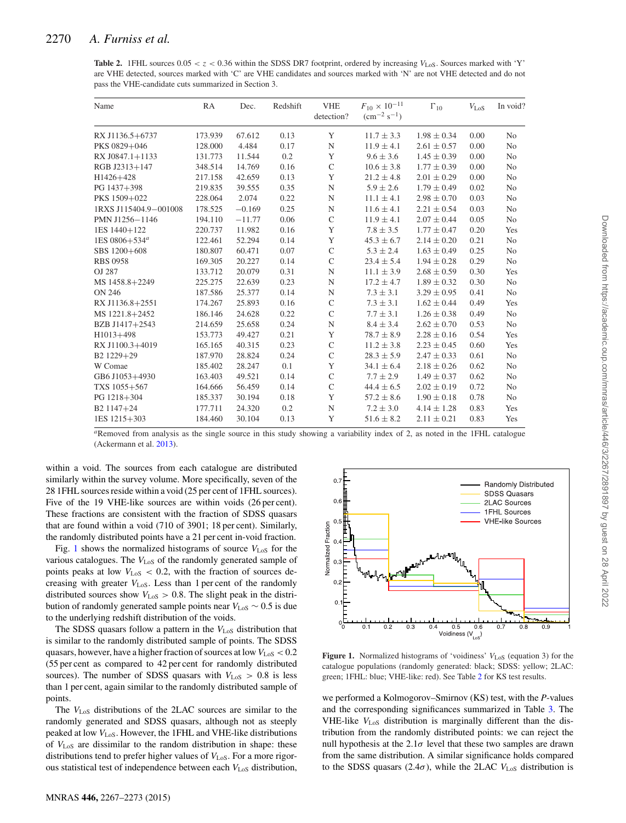**Table 2.** 1FHL sources  $0.05 < z < 0.36$  within the SDSS DR7 footprint, ordered by increasing  $V_{LoS}$ . Sources marked with 'Y' are VHE detected, sources marked with 'C' are VHE candidates and sources marked with 'N' are not VHE detected and do not pass the VHE-candidate cuts summarized in Section 3.

| Name                   | RA      | Dec.     | Redshift | <b>VHE</b><br>detection? | $F_{10} \times 10^{-11}$<br>$\rm (cm^{-2} \; s^{-1})$ | $\Gamma_{10}$   | $V_{\rm LoS}$ | In void?       |
|------------------------|---------|----------|----------|--------------------------|-------------------------------------------------------|-----------------|---------------|----------------|
| RX J1136.5+6737        | 173.939 | 67.612   | 0.13     | Y                        | $11.7 \pm 3.3$                                        | $1.98 \pm 0.34$ | 0.00          | N <sub>0</sub> |
| PKS 0829+046           | 128.000 | 4.484    | 0.17     | $\mathbf N$              | $11.9 \pm 4.1$                                        | $2.61 \pm 0.57$ | 0.00          | N <sub>0</sub> |
| RX J0847.1+1133        | 131.773 | 11.544   | 0.2      | Y                        | $9.6 \pm 3.6$                                         | $1.45 \pm 0.39$ | 0.00          | N <sub>0</sub> |
| RGB J2313+147          | 348.514 | 14.769   | 0.16     | $\mathsf{C}$             | $10.6 \pm 3.8$                                        | $1.77 \pm 0.39$ | 0.00          | No             |
| H1426+428              | 217.158 | 42.659   | 0.13     | Y                        | $21.2 \pm 4.8$                                        | $2.01 \pm 0.29$ | 0.00          | No             |
| PG 1437+398            | 219.835 | 39.555   | 0.35     | $\mathbf N$              | $5.9 \pm 2.6$                                         | $1.79 \pm 0.49$ | 0.02          | No             |
| PKS 1509+022           | 228.064 | 2.074    | 0.22     | $\mathbf N$              | $11.1 \pm 4.1$                                        | $2.98 \pm 0.70$ | 0.03          | No             |
| 1RXS J115404.9-001008  | 178.525 | $-0.169$ | 0.25     | $\mathbf N$              | $11.6 \pm 4.1$                                        | $2.21 \pm 0.54$ | 0.03          | N <sub>0</sub> |
| PMN J1256-1146         | 194.110 | $-11.77$ | 0.06     | $\mathsf{C}$             | $11.9 \pm 4.1$                                        | $2.07 \pm 0.44$ | 0.05          | No             |
| 1ES 1440+122           | 220.737 | 11.982   | 0.16     | Y                        | $7.8 \pm 3.5$                                         | $1.77 \pm 0.47$ | 0.20          | Yes            |
| 1ES $0806 + 534^a$     | 122.461 | 52.294   | 0.14     | Y                        | $45.3 \pm 6.7$                                        | $2.14 \pm 0.20$ | 0.21          | N <sub>o</sub> |
| SBS 1200+608           | 180.807 | 60.471   | 0.07     | $\mathsf{C}$             | $5.3 \pm 2.4$                                         | $1.63 \pm 0.49$ | 0.25          | No             |
| <b>RBS 0958</b>        | 169.305 | 20.227   | 0.14     | $\mathcal{C}$            | $23.4 \pm 5.4$                                        | $1.94 \pm 0.28$ | 0.29          | N <sub>0</sub> |
| OJ 287                 | 133.712 | 20.079   | 0.31     | $\mathbf N$              | $11.1 \pm 3.9$                                        | $2.68 \pm 0.59$ | 0.30          | Yes            |
| MS 1458.8+2249         | 225.275 | 22.639   | 0.23     | $\mathbf N$              | $17.2 \pm 4.7$                                        | $1.89 \pm 0.32$ | 0.30          | N <sub>0</sub> |
| <b>ON 246</b>          | 187.586 | 25.377   | 0.14     | $\mathbf N$              | $7.3 \pm 3.1$                                         | $3.29 \pm 0.95$ | 0.41          | N <sub>0</sub> |
| RX J1136.8+2551        | 174.267 | 25.893   | 0.16     | $\mathsf{C}$             | $7.3 \pm 3.1$                                         | $1.62 \pm 0.44$ | 0.49          | Yes            |
| MS 1221.8+2452         | 186.146 | 24.628   | 0.22     | $\mathcal{C}$            | $7.7 \pm 3.1$                                         | $1.26 \pm 0.38$ | 0.49          | N <sub>0</sub> |
| BZB J1417+2543         | 214.659 | 25.658   | 0.24     | $\mathbf N$              | $8.4 \pm 3.4$                                         | $2.62 \pm 0.70$ | 0.53          | No             |
| H1013+498              | 153.773 | 49.427   | 0.21     | Y                        | $78.7 \pm 8.9$                                        | $2.28 \pm 0.16$ | 0.54          | Yes            |
| RX J1100.3+4019        | 165.165 | 40.315   | 0.23     | $\mathsf{C}$             | $11.2 \pm 3.8$                                        | $2.23 \pm 0.45$ | 0.60          | Yes            |
| B <sub>2</sub> 1229+29 | 187.970 | 28.824   | 0.24     | $\mathsf{C}$             | $28.3 \pm 5.9$                                        | $2.47 \pm 0.33$ | 0.61          | No             |
| W Comae                | 185.402 | 28.247   | 0.1      | Y                        | $34.1 \pm 6.4$                                        | $2.18 \pm 0.26$ | 0.62          | No             |
| GB6 J1053+4930         | 163.403 | 49.521   | 0.14     | $\mathsf{C}$             | $7.7 \pm 2.9$                                         | $1.49 \pm 0.37$ | 0.62          | No             |
| TXS 1055+567           | 164.666 | 56.459   | 0.14     | $\mathsf{C}$             | $44.4 \pm 6.5$                                        | $2.02 \pm 0.19$ | 0.72          | N <sub>0</sub> |
| PG 1218+304            | 185.337 | 30.194   | 0.18     | Y                        | $57.2 \pm 8.6$                                        | $1.90 \pm 0.18$ | 0.78          | No             |
| B <sub>2</sub> 1147+24 | 177.711 | 24.320   | 0.2      | $\mathbf N$              | $7.2 \pm 3.0$                                         | $4.14 \pm 1.28$ | 0.83          | Yes            |
| 1ES 1215+303           | 184.460 | 30.104   | 0.13     | Y                        | $51.6 \pm 8.2$                                        | $2.11 \pm 0.21$ | 0.83          | Yes            |

*<sup>a</sup>*Removed from analysis as the single source in this study showing a variability index of 2, as noted in the 1FHL catalogue (Ackermann et al. 2013).

within a void. The sources from each catalogue are distributed similarly within the survey volume. More specifically, seven of the 28 1FHL sources reside within a void (25 per cent of 1FHL sources). Five of the 19 VHE-like sources are within voids (26 per cent). These fractions are consistent with the fraction of SDSS quasars that are found within a void (710 of 3901; 18 per cent). Similarly, the randomly distributed points have a 21 per cent in-void fraction.

Fig. 1 shows the normalized histograms of source  $V_{\text{LoS}}$  for the various catalogues. The  $V_{\text{LoS}}$  of the randomly generated sample of points peaks at low  $V_{\text{LoS}} < 0.2$ , with the fraction of sources decreasing with greater  $V_{\text{LoS}}$ . Less than 1 per cent of the randomly distributed sources show  $V_{\text{LoS}} > 0.8$ . The slight peak in the distribution of randomly generated sample points near *V*LoS ∼ 0.5 is due to the underlying redshift distribution of the voids.

The SDSS quasars follow a pattern in the  $V_{\text{LoS}}$  distribution that is similar to the randomly distributed sample of points. The SDSS quasars, however, have a higher fraction of sources at low  $V_{\text{LoS}} < 0.2$ (55 per cent as compared to 42 per cent for randomly distributed sources). The number of SDSS quasars with  $V_{\text{LoS}} > 0.8$  is less than 1 per cent, again similar to the randomly distributed sample of points.

The *V*LoS distributions of the 2LAC sources are similar to the randomly generated and SDSS quasars, although not as steeply peaked at low  $V_{LoS}$ . However, the 1FHL and VHE-like distributions of *V*LoS are dissimilar to the random distribution in shape: these distributions tend to prefer higher values of  $V_{\text{LoS}}$ . For a more rigorous statistical test of independence between each *V*<sub>LoS</sub> distribution,



**Figure 1.** Normalized histograms of 'voidiness'  $V_{\text{LoS}}$  (equation 3) for the catalogue populations (randomly generated: black; SDSS: yellow; 2LAC: green; 1FHL: blue; VHE-like: red). See Table 2 for KS test results.

we performed a Kolmogorov–Smirnov (KS) test, with the *P*-values and the corresponding significances summarized in Table 3. The VHE-like *V*LoS distribution is marginally different than the distribution from the randomly distributed points: we can reject the null hypothesis at the  $2.1\sigma$  level that these two samples are drawn from the same distribution. A similar significance holds compared to the SDSS quasars (2.4 $\sigma$ ), while the 2LAC  $V_{\text{LoS}}$  distribution is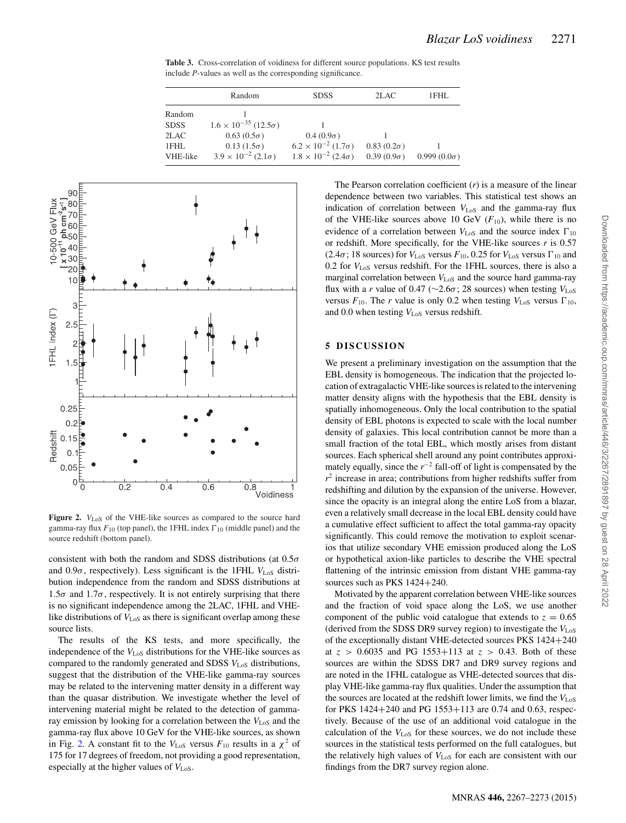**Table 3.** Cross-correlation of voidiness for different source populations. KS test results include *P*-values as well as the corresponding significance.

|             | Random                                 | <b>SDSS</b>                          | 2LAC              | 1FHL               |
|-------------|----------------------------------------|--------------------------------------|-------------------|--------------------|
| Random      |                                        |                                      |                   |                    |
| <b>SDSS</b> | $1.6 \times 10^{-35}$ (12.5 $\sigma$ ) |                                      |                   |                    |
| 2LAC        | $0.63(0.5\sigma)$                      | $0.4(0.9\sigma)$                     |                   |                    |
| 1FHL        | $0.13(1.5\sigma)$                      | $6.2 \times 10^{-2}$ (1.7 $\sigma$ ) | $0.83(0.2\sigma)$ |                    |
| VHE-like    | $3.9 \times 10^{-2}$ (2.1 $\sigma$ )   | $1.8 \times 10^{-2}$ (2.4 $\sigma$ ) | $0.39(0.9\sigma)$ | $0.999(0.0\sigma)$ |



Figure 2.  $V_{LoS}$  of the VHE-like sources as compared to the source hard gamma-ray flux  $F_{10}$  (top panel), the 1FHL index  $\Gamma_{10}$  (middle panel) and the source redshift (bottom panel).

consistent with both the random and SDSS distributions (at  $0.5\sigma$ and  $0.9\sigma$ , respectively). Less significant is the 1FHL  $V_{LoS}$  distribution independence from the random and SDSS distributions at  $1.5\sigma$  and  $1.7\sigma$ , respectively. It is not entirely surprising that there is no significant independence among the 2LAC, 1FHL and VHElike distributions of  $V_{\text{LoS}}$  as there is significant overlap among these source lists.

The results of the KS tests, and more specifically, the independence of the  $V_{\text{LoS}}$  distributions for the VHE-like sources as compared to the randomly generated and SDSS  $V_{\text{LoS}}$  distributions, suggest that the distribution of the VHE-like gamma-ray sources may be related to the intervening matter density in a different way than the quasar distribution. We investigate whether the level of intervening material might be related to the detection of gammaray emission by looking for a correlation between the  $V_{\text{LoS}}$  and the gamma-ray flux above 10 GeV for the VHE-like sources, as shown in Fig. 2. A constant fit to the  $V_{\text{LoS}}$  versus  $F_{10}$  results in a  $\chi^2$  of 175 for 17 degrees of freedom, not providing a good representation, especially at the higher values of  $V_{\text{LoS}}$ .

The Pearson correlation coefficient (*r*) is a measure of the linear dependence between two variables. This statistical test shows an indication of correlation between  $V_{\text{LoS}}$  and the gamma-ray flux of the VHE-like sources above 10 GeV  $(F_{10})$ , while there is no evidence of a correlation between  $V_{\text{LoS}}$  and the source index  $\Gamma_{10}$ or redshift. More specifically, for the VHE-like sources *r* is 0.57 (2.4 $\sigma$ ; 18 sources) for  $V_{\text{LoS}}$  versus  $F_{10}$ , 0.25 for  $V_{\text{LoS}}$  versus  $\Gamma_{10}$  and 0.2 for *V*LoS versus redshift. For the 1FHL sources, there is also a marginal correlation between  $V_{\text{LoS}}$  and the source hard gamma-ray flux with a *r* value of 0.47 ( $\sim$ 2.6 $\sigma$ ; 28 sources) when testing  $V_{\text{LoS}}$ versus  $F_{10}$ . The *r* value is only 0.2 when testing  $V_{LoS}$  versus  $\Gamma_{10}$ , and 0.0 when testing  $V_{\text{LoS}}$  versus redshift.

#### **5 DISCUSSION**

We present a preliminary investigation on the assumption that the EBL density is homogeneous. The indication that the projected location of extragalactic VHE-like sources is related to the intervening matter density aligns with the hypothesis that the EBL density is spatially inhomogeneous. Only the local contribution to the spatial density of EBL photons is expected to scale with the local number density of galaxies. This local contribution cannot be more than a small fraction of the total EBL, which mostly arises from distant sources. Each spherical shell around any point contributes approximately equally, since the *r*−<sup>2</sup> fall-off of light is compensated by the  $r<sup>2</sup>$  increase in area; contributions from higher redshifts suffer from redshifting and dilution by the expansion of the universe. However, since the opacity is an integral along the entire LoS from a blazar, even a relatively small decrease in the local EBL density could have a cumulative effect sufficient to affect the total gamma-ray opacity significantly. This could remove the motivation to exploit scenarios that utilize secondary VHE emission produced along the LoS or hypothetical axion-like particles to describe the VHE spectral flattening of the intrinsic emission from distant VHE gamma-ray sources such as PKS 1424+240.

Motivated by the apparent correlation between VHE-like sources and the fraction of void space along the LoS, we use another component of the public void catalogue that extends to  $z = 0.65$ (derived from the SDSS DR9 survey region) to investigate the *V*LoS of the exceptionally distant VHE-detected sources PKS 1424+240 at  $z > 0.6035$  and PG 1553+113 at  $z > 0.43$ . Both of these sources are within the SDSS DR7 and DR9 survey regions and are noted in the 1FHL catalogue as VHE-detected sources that display VHE-like gamma-ray flux qualities. Under the assumption that the sources are located at the redshift lower limits, we find the  $V_{\text{LoS}}$ for PKS 1424+240 and PG 1553+113 are 0.74 and 0.63, respectively. Because of the use of an additional void catalogue in the calculation of the *V*<sub>LoS</sub> for these sources, we do not include these sources in the statistical tests performed on the full catalogues, but the relatively high values of  $V_{\text{LoS}}$  for each are consistent with our findings from the DR7 survey region alone.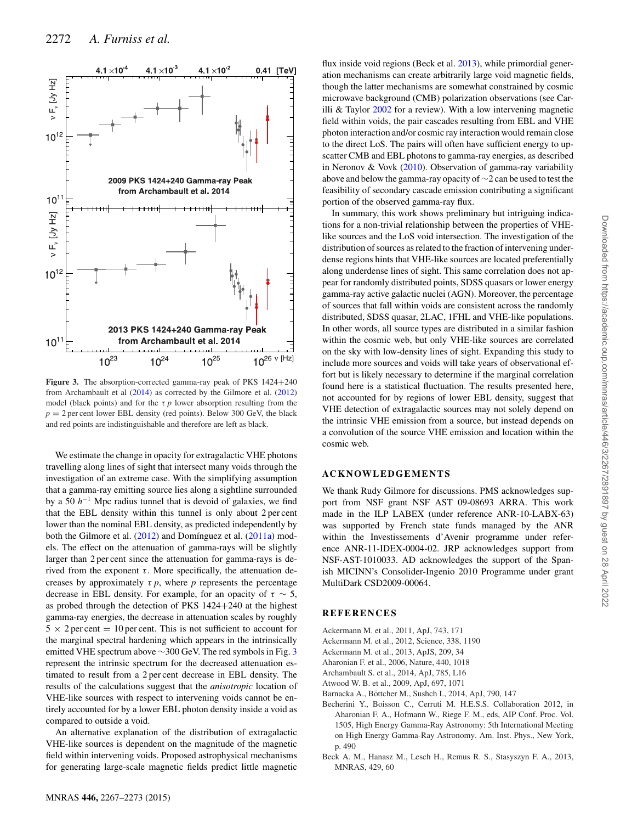

Figure 3. The absorption-corrected gamma-ray peak of PKS 1424+240 from Archambault et al (2014) as corrected by the Gilmore et al. (2012) model (black points) and for the  $\tau$  *p* lower absorption resulting from the  $p = 2$  per cent lower EBL density (red points). Below 300 GeV, the black and red points are indistinguishable and therefore are left as black.

We estimate the change in opacity for extragalactic VHE photons travelling along lines of sight that intersect many voids through the investigation of an extreme case. With the simplifying assumption that a gamma-ray emitting source lies along a sightline surrounded by a 50 *h*−<sup>1</sup> Mpc radius tunnel that is devoid of galaxies, we find that the EBL density within this tunnel is only about 2 per cent lower than the nominal EBL density, as predicted independently by both the Gilmore et al. (2012) and Domínguez et al. (2011a) models. The effect on the attenuation of gamma-rays will be slightly larger than 2 per cent since the attenuation for gamma-rays is derived from the exponent  $\tau$ . More specifically, the attenuation decreases by approximately  $\tau$  *p*, where *p* represents the percentage decrease in EBL density. For example, for an opacity of  $\tau \sim 5$ , as probed through the detection of PKS 1424+240 at the highest gamma-ray energies, the decrease in attenuation scales by roughly  $5 \times 2$  per cent = 10 per cent. This is not sufficient to account for the marginal spectral hardening which appears in the intrinsically emitted VHE spectrum above  $\sim$ 300 GeV. The red symbols in Fig. 3 represent the intrinsic spectrum for the decreased attenuation estimated to result from a 2 per cent decrease in EBL density. The results of the calculations suggest that the *anisotropic* location of VHE-like sources with respect to intervening voids cannot be entirely accounted for by a lower EBL photon density inside a void as compared to outside a void.

An alternative explanation of the distribution of extragalactic VHE-like sources is dependent on the magnitude of the magnetic field within intervening voids. Proposed astrophysical mechanisms for generating large-scale magnetic fields predict little magnetic

flux inside void regions (Beck et al. 2013), while primordial generation mechanisms can create arbitrarily large void magnetic fields, though the latter mechanisms are somewhat constrained by cosmic microwave background (CMB) polarization observations (see Carilli & Taylor 2002 for a review). With a low intervening magnetic field within voids, the pair cascades resulting from EBL and VHE photon interaction and/or cosmic ray interaction would remain close to the direct LoS. The pairs will often have sufficient energy to upscatter CMB and EBL photons to gamma-ray energies, as described in Neronov & Vovk (2010). Observation of gamma-ray variability above and below the gamma-ray opacity of ∼2 can be used to test the feasibility of secondary cascade emission contributing a significant portion of the observed gamma-ray flux.

In summary, this work shows preliminary but intriguing indications for a non-trivial relationship between the properties of VHElike sources and the LoS void intersection. The investigation of the distribution of sources as related to the fraction of intervening underdense regions hints that VHE-like sources are located preferentially along underdense lines of sight. This same correlation does not appear for randomly distributed points, SDSS quasars or lower energy gamma-ray active galactic nuclei (AGN). Moreover, the percentage of sources that fall within voids are consistent across the randomly distributed, SDSS quasar, 2LAC, 1FHL and VHE-like populations. In other words, all source types are distributed in a similar fashion within the cosmic web, but only VHE-like sources are correlated on the sky with low-density lines of sight. Expanding this study to include more sources and voids will take years of observational effort but is likely necessary to determine if the marginal correlation found here is a statistical fluctuation. The results presented here, not accounted for by regions of lower EBL density, suggest that VHE detection of extragalactic sources may not solely depend on the intrinsic VHE emission from a source, but instead depends on a convolution of the source VHE emission and location within the cosmic web.

#### **ACKNOWLEDGEMENTS**

We thank Rudy Gilmore for discussions. PMS acknowledges support from NSF grant NSF AST 09-08693 ARRA. This work made in the ILP LABEX (under reference ANR-10-LABX-63) was supported by French state funds managed by the ANR within the Investissements d'Avenir programme under reference ANR-11-IDEX-0004-02. JRP acknowledges support from NSF-AST-1010033. AD acknowledges the support of the Spanish MICINN's Consolider-Ingenio 2010 Programme under grant MultiDark CSD2009-00064.

#### **REFERENCES**

- Ackermann M. et al., 2011, ApJ, 743, 171
- Ackermann M. et al., 2012, Science, 338, 1190
- Ackermann M. et al., 2013, ApJS, 209, 34
- Aharonian F. et al., 2006, Nature, 440, 1018
- Archambault S. et al., 2014, ApJ, 785, L16
- Atwood W. B. et al., 2009, ApJ, 697, 1071
- Barnacka A., Bottcher M., Sushch I., 2014, ApJ, 790, 147 ¨
- Becherini Y., Boisson C., Cerruti M. H.E.S.S. Collaboration 2012, in Aharonian F. A., Hofmann W., Riege F. M., eds, AIP Conf. Proc. Vol. 1505, High Energy Gamma-Ray Astronomy: 5th International Meeting on High Energy Gamma-Ray Astronomy. Am. Inst. Phys., New York, p. 490
- Beck A. M., Hanasz M., Lesch H., Remus R. S., Stasyszyn F. A., 2013, MNRAS, 429, 60